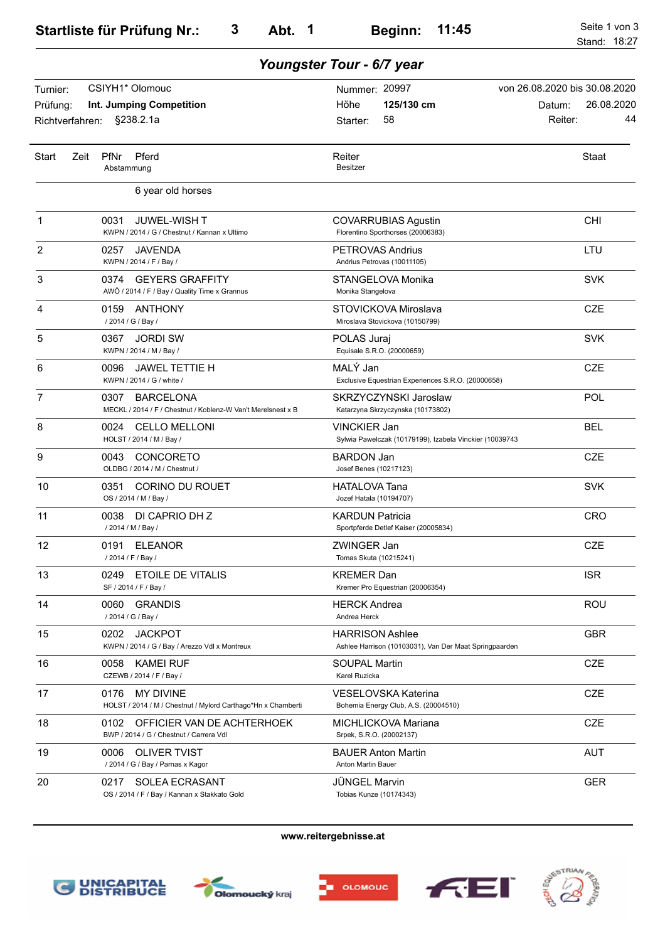|                      | Youngster Tour - 6/7 year                                                                |                                                                                  |                                                       |  |  |  |  |  |
|----------------------|------------------------------------------------------------------------------------------|----------------------------------------------------------------------------------|-------------------------------------------------------|--|--|--|--|--|
| Turnier:<br>Prüfung: | CSIYH1* Olomouc<br>Int. Jumping Competition                                              | Nummer: 20997<br>125/130 cm<br>Höhe                                              | von 26.08.2020 bis 30.08.2020<br>26.08.2020<br>Datum: |  |  |  |  |  |
| Richtverfahren:      | §238.2.1a                                                                                | 58<br>Starter:                                                                   | 44<br>Reiter:                                         |  |  |  |  |  |
| <b>Start</b>         | <b>PfNr</b><br>Pferd<br>Zeit<br>Abstammung                                               | Reiter<br><b>Besitzer</b>                                                        | Staat                                                 |  |  |  |  |  |
|                      | 6 year old horses                                                                        |                                                                                  |                                                       |  |  |  |  |  |
| 1                    | 0031<br>JUWEL-WISH T<br>KWPN / 2014 / G / Chestnut / Kannan x Ultimo                     | <b>COVARRUBIAS Agustin</b><br>Florentino Sporthorses (20006383)                  | <b>CHI</b>                                            |  |  |  |  |  |
| 2                    | 0257<br>JAVENDA<br>KWPN / 2014 / F / Bay /                                               | <b>PETROVAS Andrius</b><br>Andrius Petrovas (10011105)                           | LTU                                                   |  |  |  |  |  |
| 3                    | 0374 GEYERS GRAFFITY<br>AWÖ / 2014 / F / Bay / Quality Time x Grannus                    | STANGELOVA Monika<br>Monika Stangelova                                           | <b>SVK</b>                                            |  |  |  |  |  |
| 4                    | 0159 ANTHONY<br>/ 2014 / G / Bay /                                                       | STOVICKOVA Miroslava<br>Miroslava Stovickova (10150799)                          | <b>CZE</b>                                            |  |  |  |  |  |
| 5                    | JORDI SW<br>0367<br>KWPN / 2014 / M / Bay /                                              | POLAS Juraj<br>Equisale S.R.O. (20000659)                                        | <b>SVK</b>                                            |  |  |  |  |  |
| 6                    | 0096<br><b>JAWEL TETTIE H</b><br>KWPN / 2014 / G / white /                               | MALÝ Jan<br>Exclusive Equestrian Experiences S.R.O. (20000658)                   | <b>CZE</b>                                            |  |  |  |  |  |
| 7                    | 0307<br><b>BARCELONA</b><br>MECKL / 2014 / F / Chestnut / Koblenz-W Van't Merelsnest x B | SKRZYCZYNSKI Jaroslaw<br>Katarzyna Skrzyczynska (10173802)                       | POL                                                   |  |  |  |  |  |
| 8                    | <b>CELLO MELLONI</b><br>0024<br>HOLST / 2014 / M / Bay /                                 | <b>VINCKIER Jan</b><br>Sylwia Pawelczak (10179199), Izabela Vinckier (10039743   | <b>BEL</b>                                            |  |  |  |  |  |
| 9                    | CONCORETO<br>0043<br>OLDBG / 2014 / M / Chestnut /                                       | <b>BARDON Jan</b><br>Josef Benes (10217123)                                      | <b>CZE</b>                                            |  |  |  |  |  |
| 10                   | <b>CORINO DU ROUET</b><br>0351<br>OS / 2014 / M / Bay /                                  | <b>HATALOVA Tana</b><br>Jozef Hatala (10194707)                                  | <b>SVK</b>                                            |  |  |  |  |  |
| 11                   | 0038<br>DI CAPRIO DH Z<br>/ 2014 / M / Bay /                                             | KARDUN Patricia<br>Sportpferde Detlef Kaiser (20005834)                          | <b>CRO</b>                                            |  |  |  |  |  |
| 12                   | 0191 ELEANOR<br>/ 2014 / F / Bay /                                                       | ZWINGER Jan<br>Tomas Skuta (10215241)                                            | <b>CZE</b>                                            |  |  |  |  |  |
| 13                   | 0249 ETOILE DE VITALIS<br>SF / 2014 / F / Bay /                                          | <b>KREMER Dan</b><br>Kremer Pro Equestrian (20006354)                            | <b>ISR</b>                                            |  |  |  |  |  |
| 14                   | 0060<br><b>GRANDIS</b><br>/ 2014 / G / Bay /                                             | <b>HERCK Andrea</b><br>Andrea Herck                                              | <b>ROU</b>                                            |  |  |  |  |  |
| 15                   | 0202<br><b>JACKPOT</b><br>KWPN / 2014 / G / Bay / Arezzo Vdl x Montreux                  | <b>HARRISON Ashlee</b><br>Ashlee Harrison (10103031), Van Der Maat Springpaarden | <b>GBR</b>                                            |  |  |  |  |  |
| 16                   | 0058<br><b>KAMEI RUF</b><br>CZEWB / 2014 / F / Bay /                                     | <b>SOUPAL Martin</b><br>Karel Ruzicka                                            | <b>CZE</b>                                            |  |  |  |  |  |
| 17                   | <b>MY DIVINE</b><br>0176<br>HOLST / 2014 / M / Chestnut / Mylord Carthago*Hn x Chamberti | VESELOVSKA Katerina<br>Bohemia Energy Club, A.S. (20004510)                      | CZE                                                   |  |  |  |  |  |
| 18                   | OFFICIER VAN DE ACHTERHOEK<br>0102<br>BWP / 2014 / G / Chestnut / Carrera Vdl            | MICHLICKOVA Mariana<br>Srpek, S.R.O. (20002137)                                  | CZE                                                   |  |  |  |  |  |
| 19                   | <b>OLIVER TVIST</b><br>0006<br>/ 2014 / G / Bay / Parnas x Kagor                         | <b>BAUER Anton Martin</b><br>Anton Martin Bauer                                  | <b>AUT</b>                                            |  |  |  |  |  |
| 20                   | <b>SOLEA ECRASANT</b><br>0217<br>OS / 2014 / F / Bay / Kannan x Stakkato Gold            | <b>JÜNGEL Marvin</b><br>Tobias Kunze (10174343)                                  | <b>GER</b>                                            |  |  |  |  |  |

## **www.reitergebnisse.at**









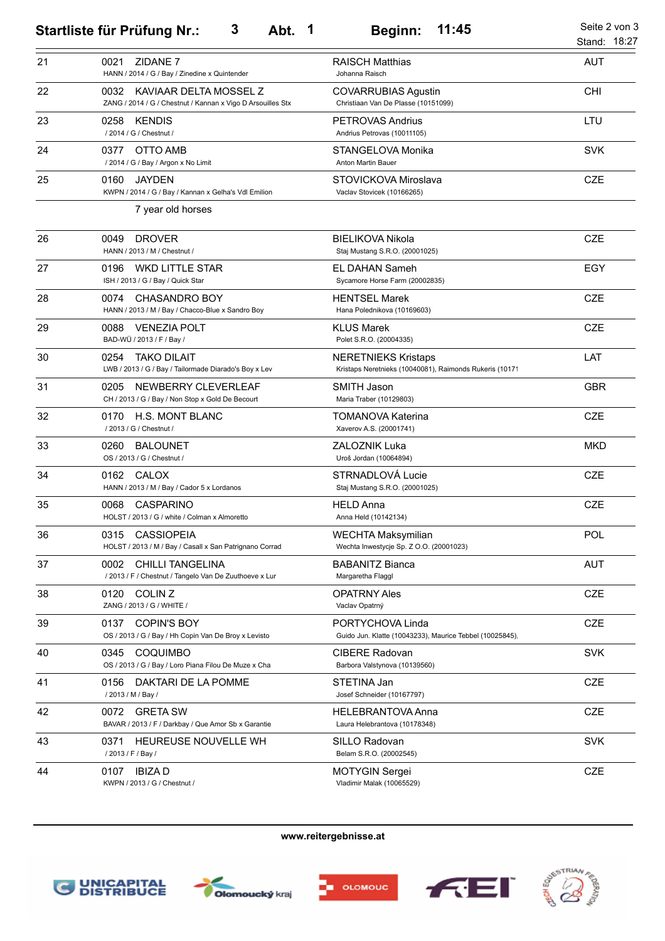|    | 3<br>Abt.<br>$\mathbf 1$<br><b>Startliste für Prüfung Nr.:</b>                                     | 11:45<br><b>Beginn:</b>                                                               | Seite 2 von 3<br>Stand: 18:27 |
|----|----------------------------------------------------------------------------------------------------|---------------------------------------------------------------------------------------|-------------------------------|
| 21 | ZIDANE 7<br>0021<br>HANN / 2014 / G / Bay / Zinedine x Quintender                                  | <b>RAISCH Matthias</b><br>Johanna Raisch                                              | <b>AUT</b>                    |
| 22 | KAVIAAR DELTA MOSSEL Z<br>0032<br>ZANG / 2014 / G / Chestnut / Kannan x Vigo D Arsouilles Stx      | <b>COVARRUBIAS Agustin</b><br>Christiaan Van De Plasse (10151099)                     | <b>CHI</b>                    |
| 23 | 0258<br><b>KENDIS</b><br>/ 2014 / G / Chestnut /                                                   | <b>PETROVAS Andrius</b><br>Andrius Petrovas (10011105)                                | LTU                           |
| 24 | OTTO AMB<br>0377<br>/ 2014 / G / Bay / Argon x No Limit                                            | STANGELOVA Monika<br><b>Anton Martin Bauer</b>                                        | <b>SVK</b>                    |
| 25 | 0160<br><b>JAYDEN</b><br>KWPN / 2014 / G / Bay / Kannan x Gelha's Vdl Emilion<br>7 year old horses | STOVICKOVA Miroslava<br>Vaclav Stovicek (10166265)                                    | <b>CZE</b>                    |
| 26 | <b>DROVER</b><br>0049<br>HANN / 2013 / M / Chestnut /                                              | <b>BIELIKOVA Nikola</b><br>Staj Mustang S.R.O. (20001025)                             | <b>CZE</b>                    |
| 27 | 0196<br><b>WKD LITTLE STAR</b><br>ISH / 2013 / G / Bay / Quick Star                                | <b>EL DAHAN Sameh</b><br>Sycamore Horse Farm (20002835)                               | EGY                           |
| 28 | 0074<br><b>CHASANDRO BOY</b><br>HANN / 2013 / M / Bay / Chacco-Blue x Sandro Boy                   | <b>HENTSEL Marek</b><br>Hana Polednikova (10169603)                                   | <b>CZE</b>                    |
| 29 | <b>VENEZIA POLT</b><br>0088<br>BAD-WÜ / 2013 / F / Bay /                                           | <b>KLUS Marek</b><br>Polet S.R.O. (20004335)                                          | <b>CZE</b>                    |
| 30 | <b>TAKO DILAIT</b><br>0254<br>LWB / 2013 / G / Bay / Tailormade Diarado's Boy x Lev                | <b>NERETNIEKS Kristaps</b><br>Kristaps Neretnieks (10040081), Raimonds Rukeris (10171 | LAT                           |
| 31 | 0205<br>NEWBERRY CLEVERLEAF<br>CH / 2013 / G / Bay / Non Stop x Gold De Becourt                    | SMITH Jason<br>Maria Traber (10129803)                                                | <b>GBR</b>                    |
| 32 | H.S. MONT BLANC<br>0170<br>/ 2013 / G / Chestnut /                                                 | <b>TOMANOVA Katerina</b><br>Xaverov A.S. (20001741)                                   | <b>CZE</b>                    |
| 33 | <b>BALOUNET</b><br>0260<br>OS / 2013 / G / Chestnut /                                              | <b>ZALOZNIK Luka</b><br>Uroš Jordan (10064894)                                        | <b>MKD</b>                    |
| 34 | <b>CALOX</b><br>0162<br>HANN / 2013 / M / Bay / Cador 5 x Lordanos                                 | STRNADLOVÁ Lucie<br>Staj Mustang S.R.O. (20001025)                                    | <b>CZE</b>                    |
| 35 | CASPARINO<br>0068<br>HOLST / 2013 / G / white / Colman x Almoretto                                 | <b>HELD Anna</b><br>Anna Held (10142134)                                              | <b>CZE</b>                    |
| 36 | <b>CASSIOPEIA</b><br>0315<br>HOLST / 2013 / M / Bay / Casall x San Patrignano Corrad               | <b>WECHTA Maksymilian</b><br>Wechta Inwestycje Sp. Z O.O. (20001023)                  | <b>POL</b>                    |
| 37 | <b>CHILLI TANGELINA</b><br>0002<br>/ 2013 / F / Chestnut / Tangelo Van De Zuuthoeve x Lur          | <b>BABANITZ Bianca</b><br>Margaretha Flaggl                                           | <b>AUT</b>                    |
| 38 | COLIN <sub>Z</sub><br>0120<br>ZANG / 2013 / G / WHITE /                                            | <b>OPATRNY Ales</b><br>Vaclav Opatrný                                                 | CZE                           |
| 39 | <b>COPIN'S BOY</b><br>0137<br>OS / 2013 / G / Bay / Hh Copin Van De Broy x Levisto                 | PORTYCHOVA Linda<br>Guido Jun. Klatte (10043233), Maurice Tebbel (10025845),          | CZE                           |
| 40 | 0345<br><b>COQUIMBO</b><br>OS / 2013 / G / Bay / Loro Piana Filou De Muze x Cha                    | <b>CIBERE Radovan</b><br>Barbora Valstynova (10139560)                                | <b>SVK</b>                    |
| 41 | 0156<br>DAKTARI DE LA POMME<br>/ 2013 / M / Bay /                                                  | STETINA Jan<br>Josef Schneider (10167797)                                             | CZE                           |
| 42 | <b>GRETA SW</b><br>0072<br>BAVAR / 2013 / F / Darkbay / Que Amor Sb x Garantie                     | HELEBRANTOVA Anna<br>Laura Helebrantova (10178348)                                    | CZE                           |
| 43 | HEUREUSE NOUVELLE WH<br>0371<br>/ 2013 / F / Bay /                                                 | SILLO Radovan<br>Belam S.R.O. (20002545)                                              | <b>SVK</b>                    |
| 44 | <b>IBIZAD</b><br>0107<br>KWPN / 2013 / G / Chestnut /                                              | <b>MOTYGIN Sergei</b><br>Vladimir Malak (10065529)                                    | <b>CZE</b>                    |

**www.reitergebnisse.at**